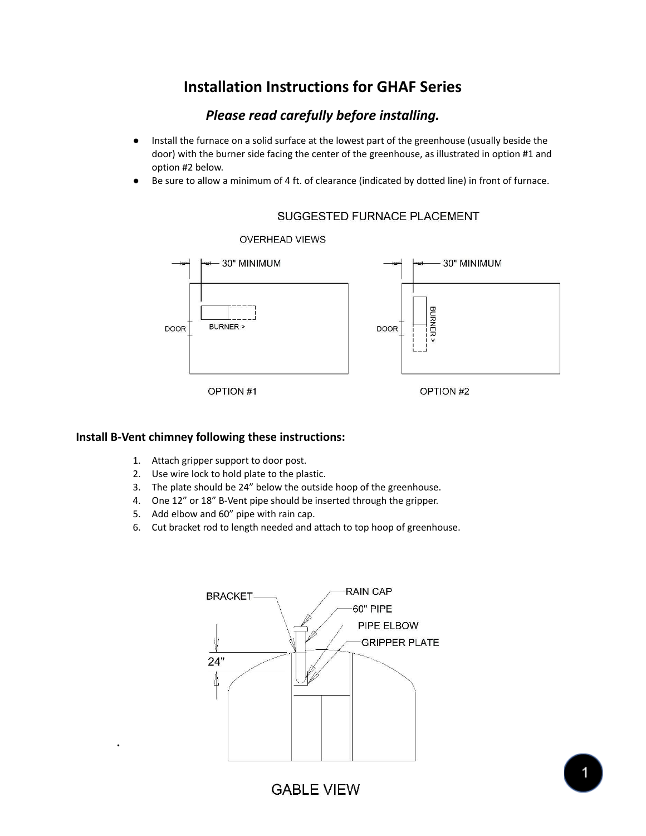# **Installation Instructions for GHAF Series**

# *Please read carefully before installing.*

- Install the furnace on a solid surface at the lowest part of the greenhouse (usually beside the door) with the burner side facing the center of the greenhouse, as illustrated in option #1 and option #2 below.
- Be sure to allow a minimum of 4 ft. of clearance (indicated by dotted line) in front of furnace.



## SUGGESTED FURNACE PLACEMENT

## **Install B-Vent chimney following these instructions:**

- 1. Attach gripper support to door post.
- 2. Use wire lock to hold plate to the plastic.
- 3. The plate should be 24" below the outside hoop of the greenhouse.
- 4. One 12" or 18" B-Vent pipe should be inserted through the gripper.
- 5. Add elbow and 60" pipe with rain cap.

**.**

6. Cut bracket rod to length needed and attach to top hoop of greenhouse.



**GABLE VIEW**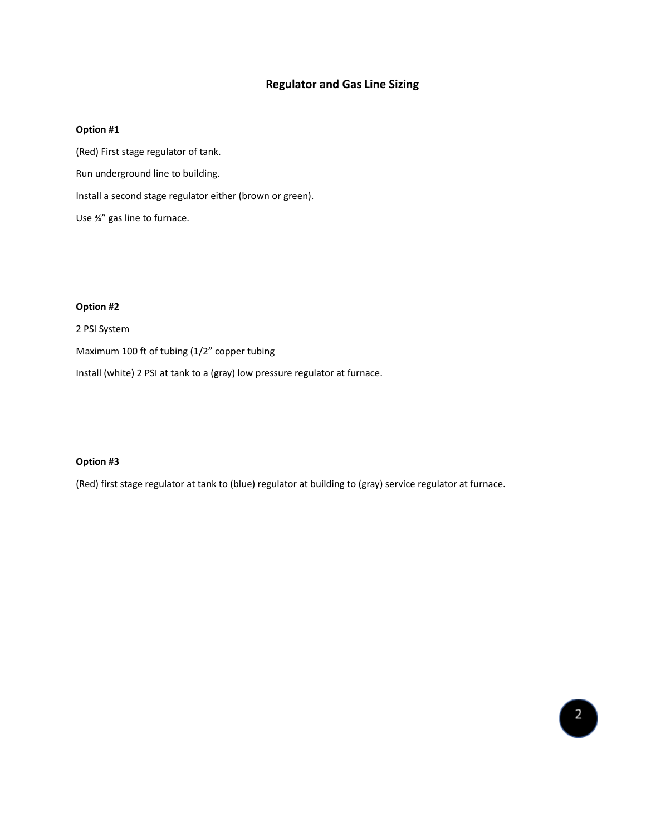## **Regulator and Gas Line Sizing**

#### **Option #1**

(Red) First stage regulator of tank. Run underground line to building. Install a second stage regulator either (brown or green). Use ¾" gas line to furnace.

#### **Option #2**

2 PSI System

Maximum 100 ft of tubing (1/2" copper tubing

Install (white) 2 PSI at tank to a (gray) low pressure regulator at furnace.

#### **Option #3**

(Red) first stage regulator at tank to (blue) regulator at building to (gray) service regulator at furnace.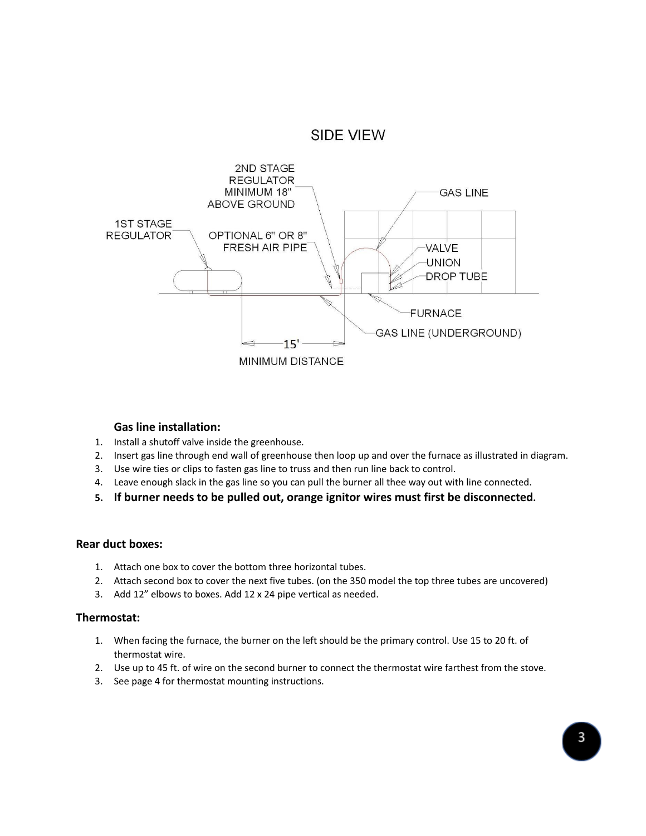



## **Gas line installation:**

- 1. Install a shutoff valve inside the greenhouse.
- 2. Insert gas line through end wall of greenhouse then loop up and over the furnace as illustrated in diagram.
- 3. Use wire ties or clips to fasten gas line to truss and then run line back to control.
- 4. Leave enough slack in the gas line so you can pull the burner all thee way out with line connected.
- **5. If burner needs to be pulled out, orange ignitor wires must first be disconnected.**

#### **Rear duct boxes:**

- 1. Attach one box to cover the bottom three horizontal tubes.
- 2. Attach second box to cover the next five tubes. (on the 350 model the top three tubes are uncovered)
- 3. Add 12" elbows to boxes. Add 12 x 24 pipe vertical as needed.

#### **Thermostat:**

- 1. When facing the furnace, the burner on the left should be the primary control. Use 15 to 20 ft. of thermostat wire.
- 2. Use up to 45 ft. of wire on the second burner to connect the thermostat wire farthest from the stove.
- 3. See page 4 for thermostat mounting instructions.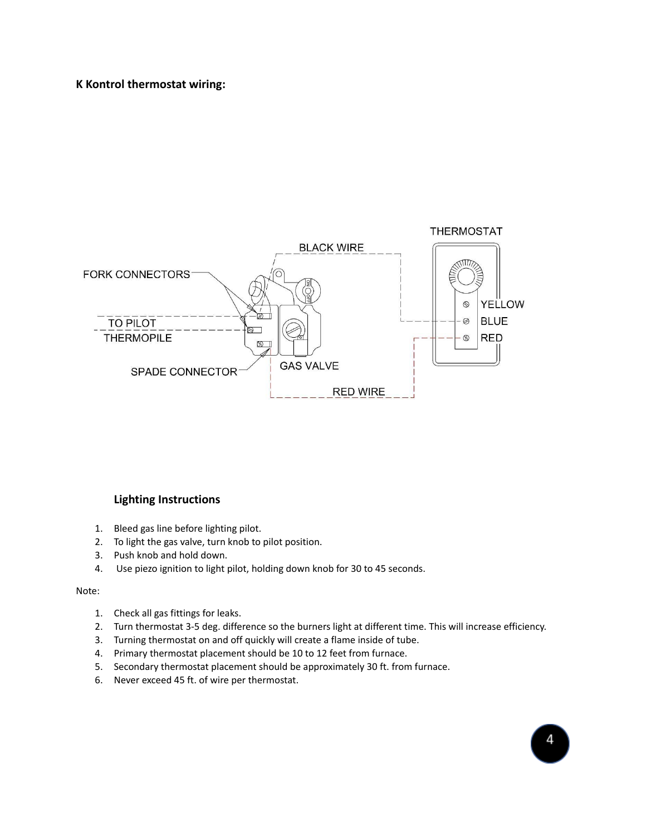**K Kontrol thermostat wiring:**



## **Lighting Instructions**

- 1. Bleed gas line before lighting pilot.
- 2. To light the gas valve, turn knob to pilot position.
- 3. Push knob and hold down.
- 4. Use piezo ignition to light pilot, holding down knob for 30 to 45 seconds.

#### Note:

- 1. Check all gas fittings for leaks.
- 2. Turn thermostat 3-5 deg. difference so the burners light at different time. This will increase efficiency.
- 3. Turning thermostat on and off quickly will create a flame inside of tube.
- 4. Primary thermostat placement should be 10 to 12 feet from furnace.
- 5. Secondary thermostat placement should be approximately 30 ft. from furnace.
- 6. Never exceed 45 ft. of wire per thermostat.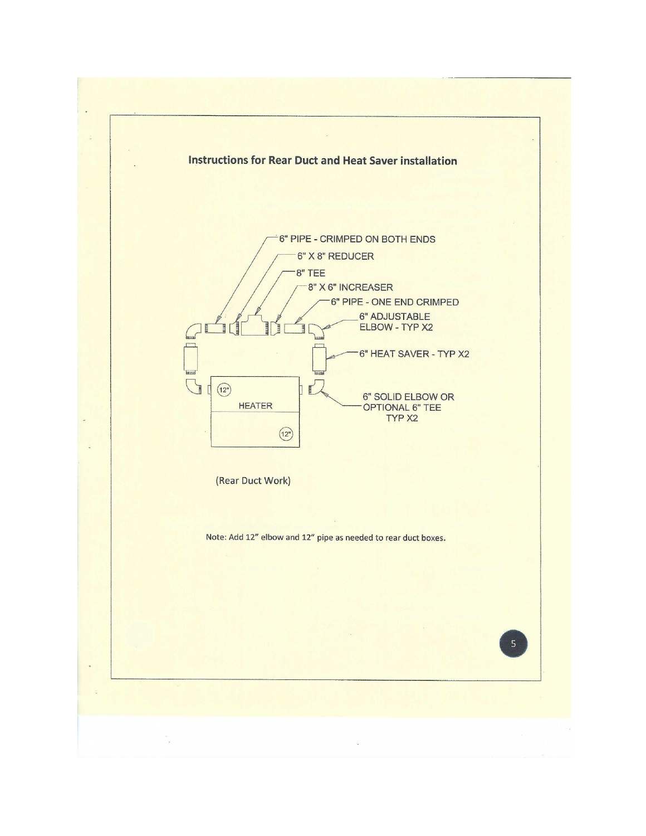